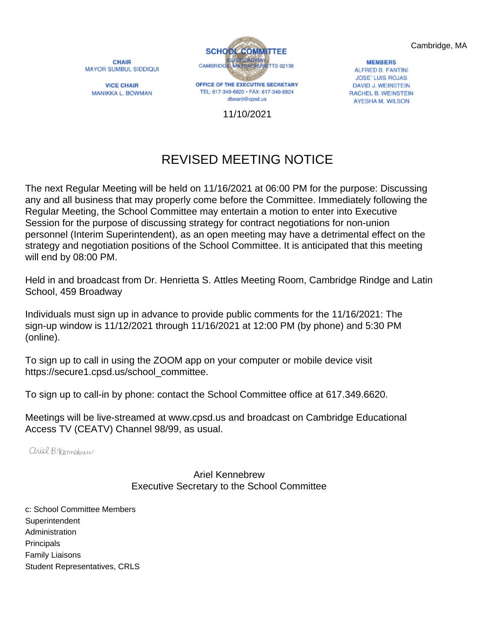Cambridge, MA

**CHAIR MAYOR SUMBUL SIDDIQUI** 

**VICE CHAIR MANIKKA L. BOWMAN** 



11/10/2021

**MEMBERS ALFRED B. FANTINI JOSE' LUIS ROJAS DAVID J. WEINSTEIN RACHEL B. WEINSTEIN** AYESHAM, WILSON

## REVISED MEETING NOTICE

The next Regular Meeting will be held on 11/16/2021 at 06:00 PM for the purpose: Discussing any and all business that may properly come before the Committee. Immediately following the Regular Meeting, the School Committee may entertain a motion to enter into Executive Session for the purpose of discussing strategy for contract negotiations for non-union personnel (Interim Superintendent), as an open meeting may have a detrimental effect on the strategy and negotiation positions of the School Committee. It is anticipated that this meeting will end by 08:00 PM.

Held in and broadcast from Dr. Henrietta S. Attles Meeting Room, Cambridge Rindge and Latin School, 459 Broadway

Individuals must sign up in advance to provide public comments for the 11/16/2021: The sign-up window is 11/12/2021 through 11/16/2021 at 12:00 PM (by phone) and 5:30 PM (online).

To sign up to call in using the ZOOM app on your computer or mobile device visit https://secure1.cpsd.us/school\_committee.

To sign up to call-in by phone: contact the School Committee office at 617.349.6620.

Meetings will be live-streamed at www.cpsd.us and broadcast on Cambridge Educational Access TV (CEATV) Channel 98/99, as usual.

ariel B. Kommekseu

Ariel Kennebrew Executive Secretary to the School Committee

c: School Committee Members **Superintendent** Administration Principals Family Liaisons Student Representatives, CRLS